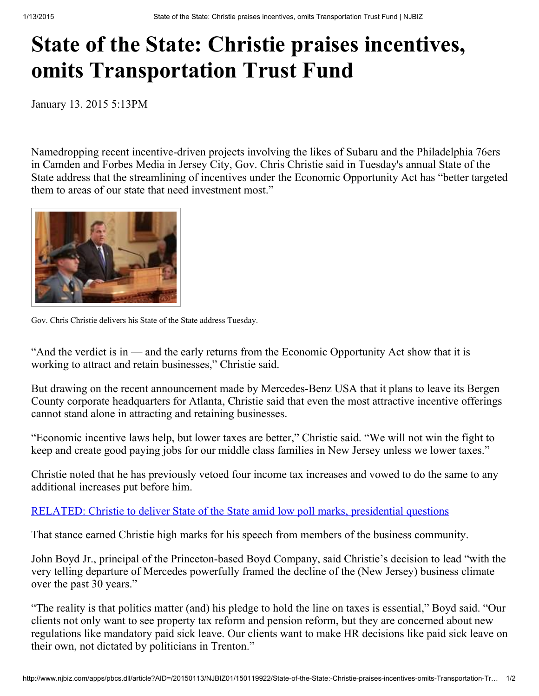## State of the State: Christie praises incentives, omits Transportation Trust Fund

January 13. 2015 5:13PM

Namedropping recent incentive-driven projects involving the likes of Subaru and the Philadelphia 76ers in Camden and Forbes Media in Jersey City, Gov. Chris Christie said in Tuesday's annual State of the State address that the streamlining of incentives under the Economic Opportunity Act has "better targeted them to areas of our state that need investment most."



Gov. Chris Christie delivers his State of the State address Tuesday.

"And the verdict is in — and the early returns from the Economic Opportunity Act show that it is working to attract and retain businesses," Christie said.

But drawing on the recent announcement made by Mercedes-Benz USA that it plans to leave its Bergen County corporate headquarters for Atlanta, Christie said that even the most attractive incentive offerings cannot stand alone in attracting and retaining businesses.

"Economic incentive laws help, but lower taxes are better," Christie said. "We will not win the fight to keep and create good paying jobs for our middle class families in New Jersey unless we lower taxes."

Christie noted that he has previously vetoed four income tax increases and vowed to do the same to any additional increases put before him.

## [RELATED:](http://www.njbiz.com/article/20150113/NJBIZ01/150119932/Christie-to-deliver-State-of-the-State-amid-low-poll-marks-presidential-questions-%28watch-live-stream%29) Christie to deliver State of the State amid low poll marks, presidential questions

That stance earned Christie high marks for his speech from members of the business community.

John Boyd Jr., principal of the Princeton-based Boyd Company, said Christie's decision to lead "with the very telling departure of Mercedes powerfully framed the decline of the (New Jersey) business climate over the past 30 years."

"The reality is that politics matter (and) his pledge to hold the line on taxes is essential," Boyd said. "Our clients not only want to see property tax reform and pension reform, but they are concerned about new regulations like mandatory paid sick leave. Our clients want to make HR decisions like paid sick leave on their own, not dictated by politicians in Trenton."